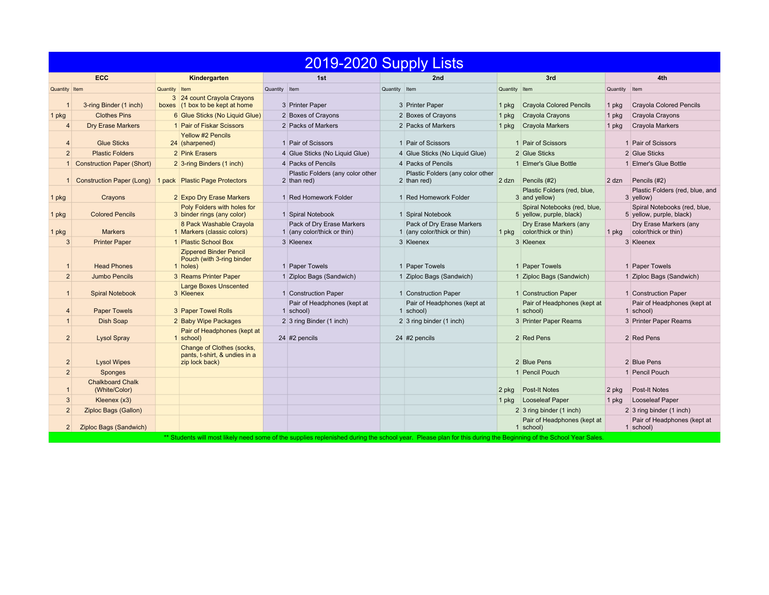| 2019-2020 Supply Lists |                                          |                                                                              |                                                                                                                                                                |                                                          |                                                          |                                                          |  |  |  |  |  |  |
|------------------------|------------------------------------------|------------------------------------------------------------------------------|----------------------------------------------------------------------------------------------------------------------------------------------------------------|----------------------------------------------------------|----------------------------------------------------------|----------------------------------------------------------|--|--|--|--|--|--|
|                        | <b>ECC</b>                               | Kindergarten                                                                 | 1st                                                                                                                                                            | 2nd                                                      | 3rd                                                      | 4th                                                      |  |  |  |  |  |  |
| Quantity Item          |                                          | Quantity Item                                                                | Quantity Item                                                                                                                                                  | Quantity Item                                            | Quantity Item                                            | Quantity Item                                            |  |  |  |  |  |  |
| $\mathbf 1$            | 3-ring Binder (1 inch)                   | 3 24 count Crayola Crayons<br>boxes (1 box to be kept at home                | 3 Printer Paper                                                                                                                                                | 3 Printer Paper                                          | <b>Crayola Colored Pencils</b><br>1 $pkg$                | <b>Crayola Colored Pencils</b><br>1 pkg                  |  |  |  |  |  |  |
| 1 pkg                  | <b>Clothes Pins</b>                      | 6 Glue Sticks (No Liquid Glue)                                               | 2 Boxes of Crayons                                                                                                                                             | 2 Boxes of Crayons                                       | Crayola Crayons<br>$1$ pkg                               | Crayola Crayons<br>1 pkg                                 |  |  |  |  |  |  |
| $\overline{4}$         | <b>Dry Erase Markers</b>                 | 1 Pair of Fiskar Scissors                                                    | 2 Packs of Markers                                                                                                                                             | 2 Packs of Markers                                       | <b>Crayola Markers</b><br>$1$ pkg                        | Crayola Markers<br>1 pkg                                 |  |  |  |  |  |  |
| 4                      | <b>Glue Sticks</b>                       | <b>Yellow #2 Pencils</b><br>24 (sharpened)                                   | 1 Pair of Scissors                                                                                                                                             | 1 Pair of Scissors                                       | 1 Pair of Scissors                                       | 1 Pair of Scissors                                       |  |  |  |  |  |  |
| 2                      | <b>Plastic Folders</b>                   | 2 Pink Erasers                                                               | 4 Glue Sticks (No Liquid Glue)                                                                                                                                 | 4 Glue Sticks (No Liquid Glue)                           | 2 Glue Sticks                                            | 2 Glue Sticks                                            |  |  |  |  |  |  |
|                        | <b>Construction Paper (Short)</b>        | 2 3-ring Binders (1 inch)                                                    | 4 Packs of Pencils                                                                                                                                             | 4 Packs of Pencils                                       | 1 Elmer's Glue Bottle                                    | 1 Elmer's Glue Bottle                                    |  |  |  |  |  |  |
| 1                      | <b>Construction Paper (Long)</b>         | 1 pack Plastic Page Protectors                                               | Plastic Folders (any color other<br>2 than red)                                                                                                                | Plastic Folders (any color other<br>2 than red)          | 2 dzn Pencils (#2)                                       | Pencils (#2)<br>2 dzn                                    |  |  |  |  |  |  |
| 1 pkg                  | Crayons                                  | 2 Expo Dry Erase Markers                                                     | 1 Red Homework Folder                                                                                                                                          | 1 Red Homework Folder                                    | Plastic Folders (red, blue,<br>3 and yellow)             | Plastic Folders (red, blue, and<br>$3$ yellow)           |  |  |  |  |  |  |
| 1 pkg                  | <b>Colored Pencils</b>                   | Poly Folders with holes for<br>3 binder rings (any color)                    | 1 Spiral Notebook                                                                                                                                              | 1 Spiral Notebook                                        | Spiral Notebooks (red, blue,<br>5 yellow, purple, black) | Spiral Notebooks (red, blue,<br>5 yellow, purple, black) |  |  |  |  |  |  |
| 1 pkg                  | <b>Markers</b>                           | 8 Pack Washable Crayola<br>1 Markers (classic colors)                        | Pack of Dry Erase Markers<br>1 (any color/thick or thin)                                                                                                       | Pack of Dry Erase Markers<br>1 (any color/thick or thin) | Dry Erase Markers (any<br>color/thick or thin)<br>1 pkg  | Dry Erase Markers (any<br>color/thick or thin)<br>1 pkg  |  |  |  |  |  |  |
| 3                      | <b>Printer Paper</b>                     | 1 Plastic School Box                                                         | 3 Kleenex                                                                                                                                                      | 3 Kleenex                                                | 3 Kleenex                                                | 3 Kleenex                                                |  |  |  |  |  |  |
| $\mathbf{1}$           | <b>Head Phones</b>                       | <b>Zippered Binder Pencil</b><br>Pouch (with 3-ring binder<br>1 holes)       | 1 Paper Towels                                                                                                                                                 | 1 Paper Towels                                           | 1 Paper Towels                                           | 1 Paper Towels                                           |  |  |  |  |  |  |
| $\overline{2}$         | Jumbo Pencils                            | 3 Reams Printer Paper                                                        | 1 Ziploc Bags (Sandwich)                                                                                                                                       | 1 Ziploc Bags (Sandwich)                                 | 1 Ziploc Bags (Sandwich)                                 | 1 Ziploc Bags (Sandwich)                                 |  |  |  |  |  |  |
| $\mathbf{1}$           | <b>Spiral Notebook</b>                   | <b>Large Boxes Unscented</b><br>3 Kleenex                                    | 1 Construction Paper                                                                                                                                           | 1 Construction Paper                                     | 1 Construction Paper                                     | 1 Construction Paper                                     |  |  |  |  |  |  |
| 4                      | <b>Paper Towels</b>                      | 3 Paper Towel Rolls                                                          | Pair of Headphones (kept at<br>1 school)                                                                                                                       | Pair of Headphones (kept at<br>1 school)                 | Pair of Headphones (kept at<br>1 school)                 | Pair of Headphones (kept at<br>1 school)                 |  |  |  |  |  |  |
| $\mathbf{1}$           | Dish Soap                                | 2 Baby Wipe Packages                                                         | 2 3 ring Binder (1 inch)                                                                                                                                       | $2 \mid 3 \text{ ring binder (1 inch)}$                  | 3 Printer Paper Reams                                    | 3 Printer Paper Reams                                    |  |  |  |  |  |  |
| $\overline{2}$         | <b>Lysol Spray</b>                       | Pair of Headphones (kept at<br>1 school)                                     | 24 #2 pencils                                                                                                                                                  | 24 #2 pencils                                            | 2 Red Pens                                               | 2 Red Pens                                               |  |  |  |  |  |  |
| $\overline{2}$         | <b>Lysol Wipes</b>                       | Change of Clothes (socks,<br>pants, t-shirt, & undies in a<br>zip lock back) |                                                                                                                                                                |                                                          | 2 Blue Pens                                              | 2 Blue Pens                                              |  |  |  |  |  |  |
| 2                      | Sponges                                  |                                                                              |                                                                                                                                                                |                                                          | 1 Pencil Pouch                                           | 1 Pencil Pouch                                           |  |  |  |  |  |  |
| $\mathbf{1}$           | <b>Chalkboard Chalk</b><br>(White/Color) |                                                                              |                                                                                                                                                                |                                                          | 2 pkg Post-It Notes                                      | <b>Post-It Notes</b><br>2 pkg                            |  |  |  |  |  |  |
| 3                      | Kleenex (x3)                             |                                                                              |                                                                                                                                                                |                                                          | Looseleaf Paper<br>1 pkg                                 | Looseleaf Paper<br>1 pkg                                 |  |  |  |  |  |  |
| 2                      | Ziploc Bags (Gallon)                     |                                                                              |                                                                                                                                                                |                                                          | $2 \mid 3 \text{ ring binder}$ (1 inch)                  | 2 3 ring binder (1 inch)                                 |  |  |  |  |  |  |
| 2 <sup>2</sup>         | Ziploc Bags (Sandwich)                   |                                                                              |                                                                                                                                                                |                                                          | Pair of Headphones (kept at<br>$1$ school)               | Pair of Headphones (kept at<br>1 school)                 |  |  |  |  |  |  |
|                        |                                          |                                                                              | ** Students will most likely need some of the supplies replenished during the school year. Please plan for this during the Beginning of the School Year Sales. |                                                          |                                                          |                                                          |  |  |  |  |  |  |